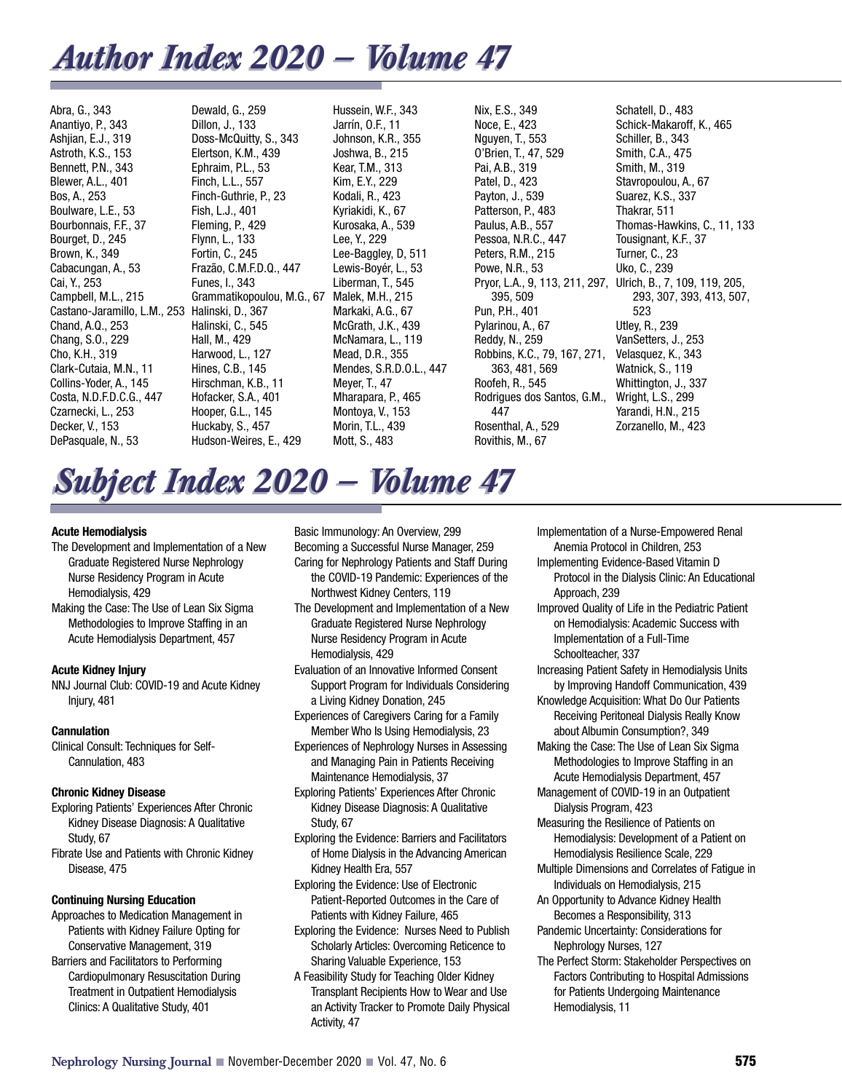## *Author Index Author Index 2020 — V 2020 — Volume 47 olume 47*

Abra, G., 343 Anantiyo, P., 343 Ashjian, E.J., 319 Astroth, K.S., 153 Bennett, P.N., 343 Blewer, A.L., 401 Bos, A., 253 Boulware, L.E., 53 Bourbonnais, F.F., 37 Bourget, D., 245 Brown, K., 349 Cabacungan, A., 53 Cai, Y., 253 Campbell, M.L., 215 Castano-Jaramillo, L.M., 253 Chand, A.Q., 253 Chang, S.O., 229 Cho, K.H., 319 Clark-Cutaia, M.N., 11 Collins-Yoder, A., 145 Costa, N.D.F.D.C.G., 447 Czarnecki, L., 253 Decker, V., 153 DePasquale, N., 53

Dewald, G., 259 Dillon, J., 133 Doss-McQuitty, S., 343 Elertson, K.M., 439 Ephraim, P.L., 53 Finch, L.L., 557 Finch-Guthrie, P., 23 Fish, L.J., 401 Fleming, P., 429 Flynn, L., 133 Fortin, C., 245 Frazão, C.M.F.D.Q., 447 Funes, I., 343 Grammatikopoulou, M.G., 67 Halinski, D., 367 Halinski, C., 545 Hall, M., 429 Harwood, L., 127 Hines, C.B., 145 Hirschman, K.B., 11 Hofacker, S.A., 401 Hooper, G.L., 145 Huckaby, S., 457 Hudson-Weires, E., 429

Hussein, W.F., 343 Jarrín, O.F., 11 Johnson, K.R., 355 Joshwa, B., 215 Kear, T.M., 313 Kim, E.Y., 229 Kodali, R., 423 Kyriakidi, K., 67 Kurosaka, A., 539 Lee, Y., 229 Lee-Baggley, D, 511 Lewis-Boyér, L., 53 Liberman, T., 545 Malek, M.H., 215 Markaki, A.G., 67 McGrath, J.K., 439 McNamara, L., 119 Mead, D.R., 355 Mendes, S.R.D.O.L., 447 Meyer, T., 47 Mharapara, P., 465 Montoya, V., 153 Morin, T.L., 439 Mott, S., 483

Nix, E.S., 349 Noce, E., 423 Nguyen, T., 553 O'Brien, T., 47, 529 Pai, A.B., 319 Patel, D., 423 Payton, J., 539 Patterson, P., 483 Paulus, A.B., 557 Pessoa, N.R.C., 447 Peters, R.M., 215 Powe, N.R., 53 395, 509 Pun, P.H., 401 Pylarinou, A., 67 Reddy, N., 259 Robbins, K.C., 79, 167, 271, 363, 481, 569 Roofeh, R., 545 Rodrigues dos Santos, G.M., 447 Rosenthal, A., 529 Rovithis, M., 67

Pryor, L.A., 9, 113, 211, 297, Ulrich, B., 7, 109, 119, 205, Schatell, D., 483 Schick-Makaroff, K., 465 Schiller, B., 343 Smith, C.A., 475 Smith, M., 319 Stavropoulou, A., 67 Suarez, K.S., 337 Thakrar, 511 Thomas-Hawkins, C., 11, 133 Tousignant, K.F., 37 Turner, C., 23 Uko, C., 239 293, 307, 393, 413, 507, 523 Utley, R., 239 VanSetters, J., 253 Velasquez, K., 343 Watnick, S., 119 Whittington, J., 337 Wright, L.S., 299 Yarandi, H.N., 215 Zorzanello, M., 423

# *Subject Index Subject Index 2020 — V 2020 — Volume 47 olume 47*

#### **Acute Hemodialysis**

- The Development and Implementation of a New Graduate Registered Nurse Nephrology Nurse Residency Program in Acute Hemodialysis, 429
- Making the Case: The Use of Lean Six Sigma Methodologies to Improve Staffing in an Acute Hemodialysis Department, 457

#### **Acute Kidney Injury**

NNJ Journal Club: COVID-19 and Acute Kidney Injury, 481

#### **Cannulation**

Clinical Consult: Techniques for Self-Cannulation, 483

#### **Chronic Kidney Disease**

- Exploring Patients' Experiences After Chronic Kidney Disease Diagnosis: A Qualitative Study, 67
- Fibrate Use and Patients with Chronic Kidney Disease, 475

#### **Continuing Nursing Education**

- Approaches to Medication Management in Patients with Kidney Failure Opting for Conservative Management, 319 Barriers and Facilitators to Performing
- Cardiopulmonary Resuscitation During Treatment in Outpatient Hemodialysis Clinics: A Qualitative Study, 401

Basic Immunology: An Overview, 299 Becoming a Successful Nurse Manager, 259 Caring for Nephrology Patients and Staff During the COVID-19 Pandemic: Experiences of the Northwest Kidney Centers, 119

The Development and Implementation of a New Graduate Registered Nurse Nephrology Nurse Residency Program in Acute Hemodialysis, 429

Evaluation of an Innovative Informed Consent Support Program for Individuals Considering a Living Kidney Donation, 245

- Experiences of Caregivers Caring for a Family Member Who Is Using Hemodialysis, 23
- Experiences of Nephrology Nurses in Assessing and Managing Pain in Patients Receiving Maintenance Hemodialysis, 37
- Exploring Patients' Experiences After Chronic Kidney Disease Diagnosis: A Qualitative Study, 67
- Exploring the Evidence: Barriers and Facilitators of Home Dialysis in the Advancing American Kidney Health Era, 557
- Exploring the Evidence: Use of Electronic Patient-Reported Outcomes in the Care of Patients with Kidney Failure, 465
- Exploring the Evidence: Nurses Need to Publish Scholarly Articles: Overcoming Reticence to Sharing Valuable Experience, 153
- A Feasibility Study for Teaching Older Kidney Transplant Recipients How to Wear and Use an Activity Tracker to Promote Daily Physical Activity, 47

Implementation of a Nurse-Empowered Renal Anemia Protocol in Children, 253 Implementing Evidence-Based Vitamin D Protocol in the Dialysis Clinic: An Educational Approach, 239 Improved Quality of Life in the Pediatric Patient on Hemodialysis: Academic Success with Implementation of a Full-Time Schoolteacher, 337 Increasing Patient Safety in Hemodialysis Units by Improving Handoff Communication, 439 Knowledge Acquisition: What Do Our Patients Receiving Peritoneal Dialysis Really Know about Albumin Consumption?, 349 Making the Case: The Use of Lean Six Sigma Methodologies to Improve Staffing in an Acute Hemodialysis Department, 457 Management of COVID-19 in an Outpatient Dialysis Program, 423 Measuring the Resilience of Patients on Hemodialysis: Development of a Patient on Hemodialysis Resilience Scale, 229 Multiple Dimensions and Correlates of Fatigue in Individuals on Hemodialysis, 215 An Opportunity to Advance Kidney Health Becomes a Responsibility, 313 Pandemic Uncertainty: Considerations for Nephrology Nurses, 127 The Perfect Storm: Stakeholder Perspectives on

Factors Contributing to Hospital Admissions for Patients Undergoing Maintenance Hemodialysis, 11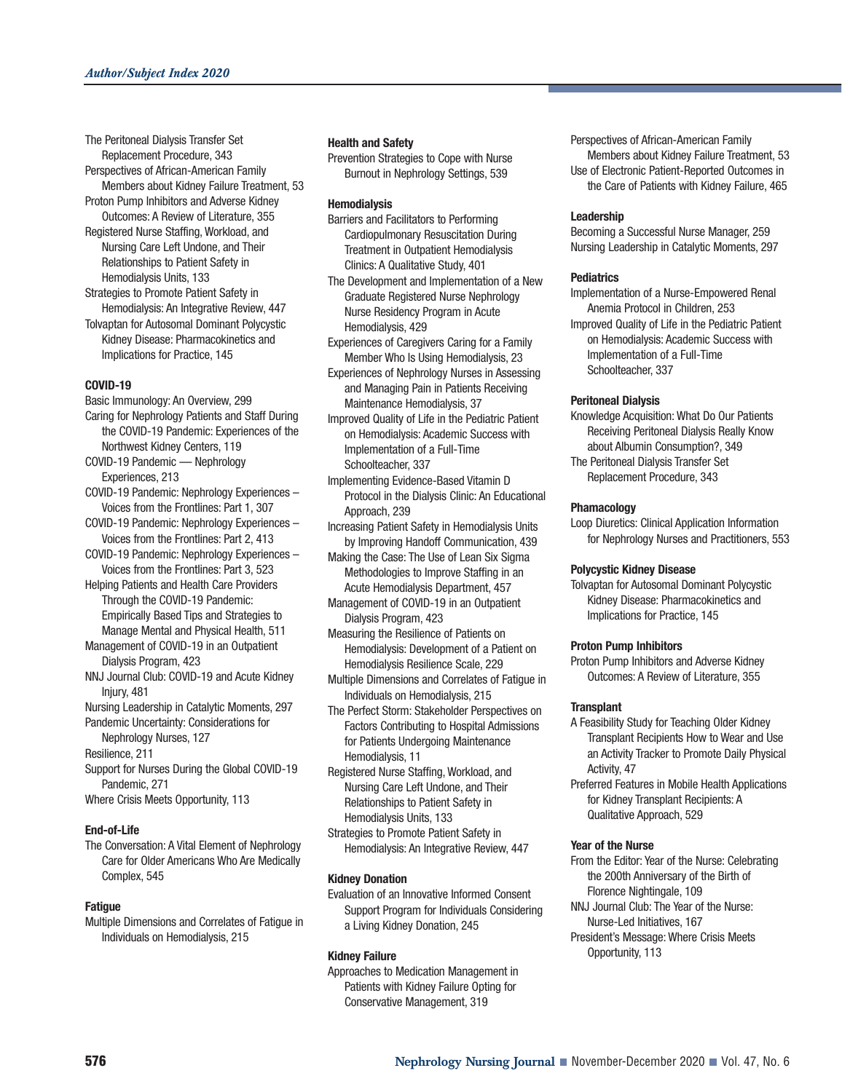The Peritoneal Dialysis Transfer Set Replacement Procedure, 343

- Perspectives of African-American Family Members about Kidney Failure Treatment, 53
- Proton Pump Inhibitors and Adverse Kidney Outcomes: A Review of Literature, 355 Registered Nurse Staffing, Workload, and
- Nursing Care Left Undone, and Their Relationships to Patient Safety in Hemodialysis Units, 133
- Strategies to Promote Patient Safety in Hemodialysis: An Integrative Review, 447 Tolvaptan for Autosomal Dominant Polycystic Kidney Disease: Pharmacokinetics and Implications for Practice, 145

#### **COVID-19**

- Basic Immunology: An Overview, 299
- Caring for Nephrology Patients and Staff During the COVID-19 Pandemic: Experiences of the Northwest Kidney Centers, 119
- COVID-19 Pandemic Nephrology Experiences, 213
- COVID-19 Pandemic: Nephrology Experiences Voices from the Frontlines: Part 1, 307
- COVID-19 Pandemic: Nephrology Experiences Voices from the Frontlines: Part 2, 413
- COVID-19 Pandemic: Nephrology Experiences Voices from the Frontlines: Part 3, 523
- Helping Patients and Health Care Providers Through the COVID-19 Pandemic: Empirically Based Tips and Strategies to Manage Mental and Physical Health, 511
- Management of COVID-19 in an Outpatient Dialysis Program, 423
- NNJ Journal Club: COVID-19 and Acute Kidney Injury, 481
- Nursing Leadership in Catalytic Moments, 297 Pandemic Uncertainty: Considerations for
- Nephrology Nurses, 127 Resilience, 211
- Support for Nurses During the Global COVID-19 Pandemic, 271
- Where Crisis Meets Opportunity, 113

#### **End-of-Life**

The Conversation: A Vital Element of Nephrology Care for Older Americans Who Are Medically Complex, 545

#### **Fatigue**

Multiple Dimensions and Correlates of Fatigue in Individuals on Hemodialysis, 215

#### **Health and Safety**

Prevention Strategies to Cope with Nurse Burnout in Nephrology Settings, 539

#### **Hemodialysis**

- Barriers and Facilitators to Performing Cardiopulmonary Resuscitation During Treatment in Outpatient Hemodialysis Clinics: A Qualitative Study, 401
- The Development and Implementation of a New Graduate Registered Nurse Nephrology Nurse Residency Program in Acute Hemodialysis, 429
- Experiences of Caregivers Caring for a Family Member Who Is Using Hemodialysis, 23
- Experiences of Nephrology Nurses in Assessing and Managing Pain in Patients Receiving Maintenance Hemodialysis, 37
- Improved Quality of Life in the Pediatric Patient on Hemodialysis: Academic Success with Implementation of a Full-Time Schoolteacher, 337
- Implementing Evidence-Based Vitamin D Protocol in the Dialysis Clinic: An Educational Approach, 239
- Increasing Patient Safety in Hemodialysis Units by Improving Handoff Communication, 439
- Making the Case: The Use of Lean Six Sigma Methodologies to Improve Staffing in an Acute Hemodialysis Department, 457
- Management of COVID-19 in an Outpatient Dialysis Program, 423
- Measuring the Resilience of Patients on Hemodialysis: Development of a Patient on Hemodialysis Resilience Scale, 229
- Multiple Dimensions and Correlates of Fatigue in Individuals on Hemodialysis, 215
- The Perfect Storm: Stakeholder Perspectives on Factors Contributing to Hospital Admissions for Patients Undergoing Maintenance Hemodialysis, 11
- Registered Nurse Staffing, Workload, and Nursing Care Left Undone, and Their Relationships to Patient Safety in Hemodialysis Units, 133
- Strategies to Promote Patient Safety in Hemodialysis: An Integrative Review, 447

#### **Kidney Donation**

Evaluation of an Innovative Informed Consent Support Program for Individuals Considering a Living Kidney Donation, 245

#### **Kidney Failure**

Approaches to Medication Management in Patients with Kidney Failure Opting for Conservative Management, 319

Perspectives of African-American Family Members about Kidney Failure Treatment, 53 Use of Electronic Patient-Reported Outcomes in the Care of Patients with Kidney Failure, 465

#### **Leadership**

Becoming a Successful Nurse Manager, 259 Nursing Leadership in Catalytic Moments, 297

#### **Pediatrics**

- Implementation of a Nurse-Empowered Renal Anemia Protocol in Children, 253 Improved Quality of Life in the Pediatric Patient
- on Hemodialysis: Academic Success with Implementation of a Full-Time Schoolteacher, 337

#### **Peritoneal Dialysis**

- Knowledge Acquisition: What Do Our Patients Receiving Peritoneal Dialysis Really Know about Albumin Consumption?, 349
- The Peritoneal Dialysis Transfer Set Replacement Procedure, 343

#### **Phamacology**

Loop Diuretics: Clinical Application Information for Nephrology Nurses and Practitioners, 553

#### **Polycystic Kidney Disease**

Tolvaptan for Autosomal Dominant Polycystic Kidney Disease: Pharmacokinetics and Implications for Practice, 145

#### **Proton Pump Inhibitors**

Proton Pump Inhibitors and Adverse Kidney Outcomes: A Review of Literature, 355

#### **Transplant**

- A Feasibility Study for Teaching Older Kidney Transplant Recipients How to Wear and Use an Activity Tracker to Promote Daily Physical Activity, 47
- Preferred Features in Mobile Health Applications for Kidney Transplant Recipients: A Qualitative Approach, 529

#### **Year of the Nurse**

- From the Editor: Year of the Nurse: Celebrating the 200th Anniversary of the Birth of Florence Nightingale, 109 NNJ Journal Club: The Year of the Nurse:
- Nurse-Led Initiatives, 167
- President's Message: Where Crisis Meets Opportunity, 113